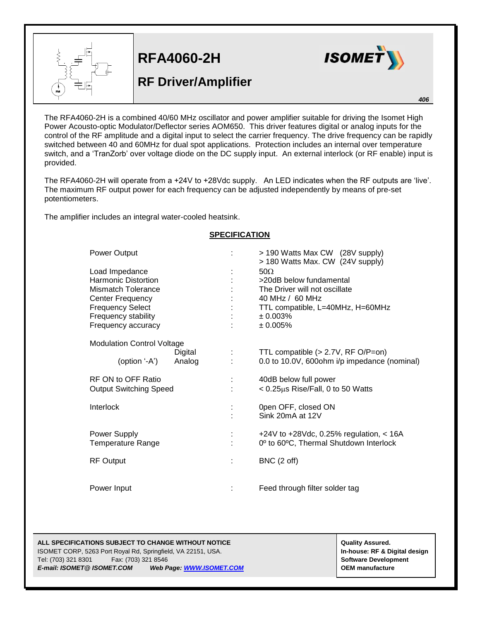

## **RFA4060-2H**

## **RF Driver/Amplifier**



*406*

The RFA4060-2H is a combined 40/60 MHz oscillator and power amplifier suitable for driving the Isomet High Power Acousto-optic Modulator/Deflector series AOM650. This driver features digital or analog inputs for the control of the RF amplitude and a digital input to select the carrier frequency. The drive frequency can be rapidly switched between 40 and 60MHz for dual spot applications. Protection includes an internal over temperature switch, and a 'TranZorb' over voltage diode on the DC supply input. An external interlock (or RF enable) input is provided.

The RFA4060-2H will operate from a +24V to +28Vdc supply. An LED indicates when the RF outputs are 'live'. The maximum RF output power for each frequency can be adjusted independently by means of pre-set potentiometers.

The amplifier includes an integral water-cooled heatsink.

| Power Output                                                                                                                                                          | ÷             | > 190 Watts Max CW (28V supply)<br>> 180 Watts Max. CW (24V supply)                                                                                      |
|-----------------------------------------------------------------------------------------------------------------------------------------------------------------------|---------------|----------------------------------------------------------------------------------------------------------------------------------------------------------|
| Load Impedance<br><b>Harmonic Distortion</b><br><b>Mismatch Tolerance</b><br>Center Frequency<br><b>Frequency Select</b><br>Frequency stability<br>Frequency accuracy |               | $50\Omega$<br>>20dB below fundamental<br>The Driver will not oscillate<br>40 MHz / 60 MHz<br>TTL compatible, L=40MHz, H=60MHz<br>$± 0.003\%$<br>± 0.005% |
| <b>Modulation Control Voltage</b><br>Digital<br>Analog<br>(option '-A')                                                                                               | <b>Common</b> | TTL compatible $(> 2.7V, RF O/P=0n)$<br>0.0 to 10.0V, 600ohm i/p impedance (nominal)                                                                     |
| RF ON to OFF Ratio<br><b>Output Switching Speed</b>                                                                                                                   |               | 40dB below full power<br>< 0.25µs Rise/Fall, 0 to 50 Watts                                                                                               |
| Interlock                                                                                                                                                             |               | 0pen OFF, closed ON<br>Sink 20mA at 12V                                                                                                                  |
| Power Supply<br><b>Temperature Range</b>                                                                                                                              |               | +24V to +28Vdc, 0.25% regulation, $<$ 16A<br>0 <sup>o</sup> to 60°C, Thermal Shutdown Interlock                                                          |
| <b>RF Output</b>                                                                                                                                                      | ÷             | BNC (2 off)                                                                                                                                              |
| Power Input                                                                                                                                                           |               | Feed through filter solder tag                                                                                                                           |

## **SPECIFICATION**

**ALL SPECIFICATIONS SUBJECT TO CHANGE WITHOUT NOTICE And CONTACT ASSURANT CONTRACT ASSURANT ASSURANT ASSURANT ASSURANT ASSURANT ASSURANT ASSURANT ASSURANT ASSURANT ASSURANT ASSURANT ASSURANT ASSURANT ASSURANT ASSURANT ASSU** 

ISOMET CORP, 5263 Port Royal Rd, Springfield, VA 22151, USA. **In-house: RF & Digital design** Tel: (703) 321 8301 Fax: (703) 321 8546 **Software Development** *E-mail: ISOMET@ ISOMET.COM Web Page: WWW.ISOMET.COM* **OEM manufacture**